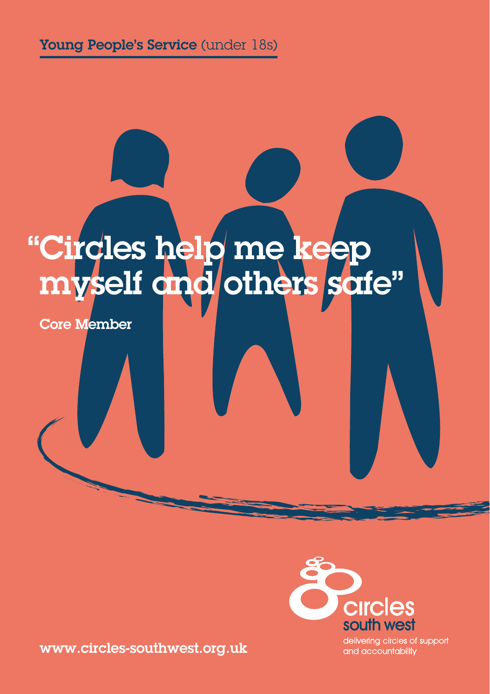# "Circles help me keep myself and others safe"

Core Member

www.circles-southwest.org.uk



delivering circles of support and accountability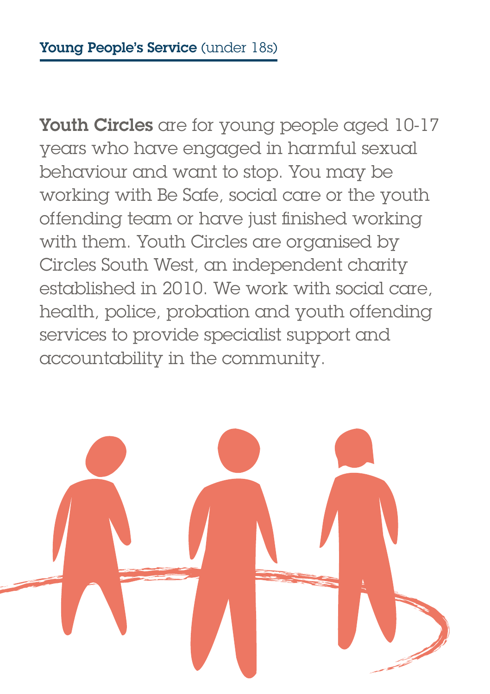Youth Circles are for young people aged 10-17 years who have engaged in harmful sexual behaviour and want to stop. You may be working with Be Safe, social care or the youth offending team or have just finished working with them. Youth Circles are organised by Circles South West, an independent charity established in 2010. We work with social care, health, police, probation and youth offending services to provide specialist support and accountability in the community.

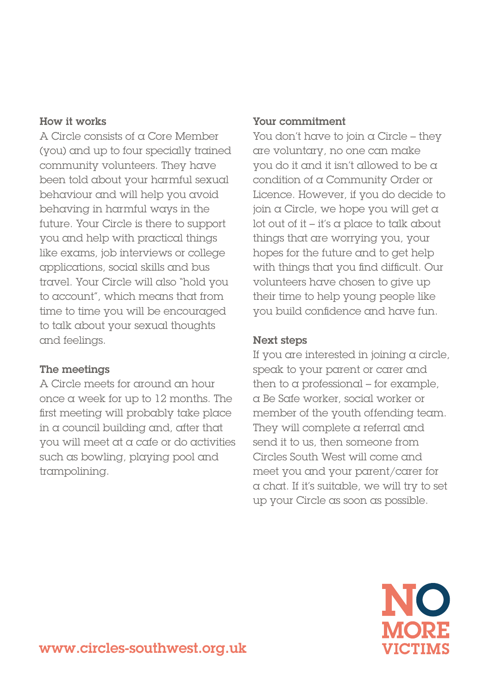#### How it works

A Circle consists of a Core Member (you) and up to four specially trained community volunteers. They have been told about your harmful sexual behaviour and will help you avoid behaving in harmful ways in the future. Your Circle is there to support you and help with practical things like exams, job interviews or college applications, social skills and bus travel. Your Circle will also "hold you to account", which means that from time to time you will be encouraged to talk about your sexual thoughts and feelings.

#### The meetings

A Circle meets for around an hour once a week for up to 12 months. The first meeting will probably take place in a council building and, after that you will meet at a cafe or do activities such as bowling, playing pool and trampolining.

#### Your commitment

You don't have to join a Circle – they are voluntary, no one can make you do it and it isn't allowed to be a condition of a Community Order or Licence. However, if you do decide to join a Circle, we hope you will get a lot out of it – it's a place to talk about things that are worrying you, your hopes for the future and to get help with things that you find difficult. Our volunteers have chosen to give up their time to help young people like you build confidence and have fun.

#### Next steps

If you are interested in joining  $\alpha$  circle, speak to your parent or carer and then to a professional – for example, a Be Safe worker, social worker or member of the youth offending team. They will complete a referral and send it to us, then someone from Circles South West will come and meet you and your parent/carer for a chat. If it's suitable, we will try to set up your Circle as soon as possible.